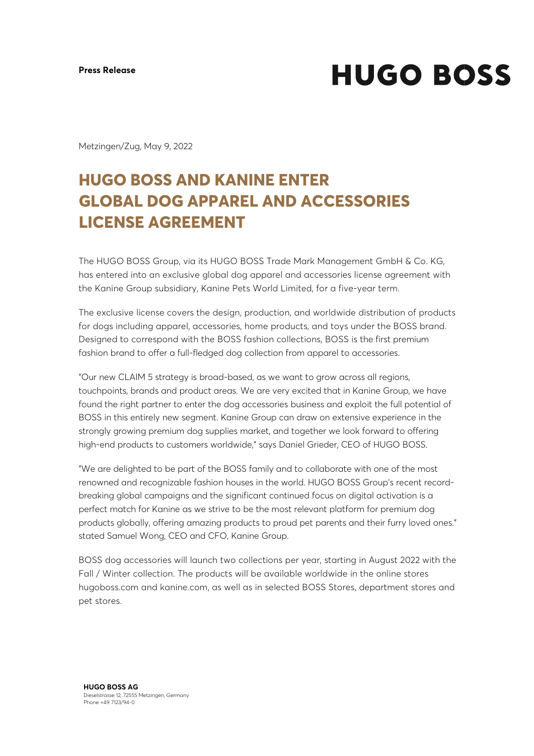**HUGO BOSS** 

Metzingen/Zug, May 9, 2022

## **HUGO BOSS AND KANINE ENTER GLOBAL DOG APPAREL AND ACCESSORIES LICENSE AGREEMENT**

The HUGO BOSS Group, via its HUGO BOSS Trade Mark Management GmbH & Co. KG, has entered into an exclusive global dog apparel and accessories license agreement with the Kanine Group subsidiary, Kanine Pets World Limited, for a five-year term.

The exclusive license covers the design, production, and worldwide distribution of products for dogs including apparel, accessories, home products, and toys under the BOSS brand. Designed to correspond with the BOSS fashion collections, BOSS is the first premium fashion brand to offer a full-fledged dog collection from apparel to accessories.

"Our new CLAIM 5 strategy is broad-based, as we want to grow across all regions, touchpoints, brands and product areas. We are very excited that in Kanine Group, we have found the right partner to enter the dog accessories business and exploit the full potential of BOSS in this entirely new segment. Kanine Group can draw on extensive experience in the strongly growing premium dog supplies market, and together we look forward to offering high-end products to customers worldwide," says Daniel Grieder, CEO of HUGO BOSS.

"We are delighted to be part of the BOSS family and to collaborate with one of the most renowned and recognizable fashion houses in the world. HUGO BOSS Group's recent recordbreaking global campaigns and the significant continued focus on digital activation is a perfect match for Kanine as we strive to be the most relevant platform for premium dog products globally, offering amazing products to proud pet parents and their furry loved ones." stated Samuel Wong, CEO and CFO, Kanine Group.

BOSS dog accessories will launch two collections per year, starting in August 2022 with the Fall / Winter collection. The products will be available worldwide in the online stores hugoboss.com and kanine.com, as well as in selected BOSS Stores, department stores and pet stores.

**HUGO BOSS AG** Dieselstrasse 12, 72555 Metzingen, Germany Phone +49 7123/94-0